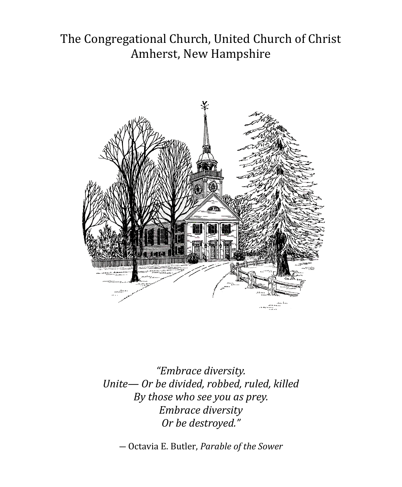## The Congregational Church, United Church of Christ Amherst, New Hampshire



*"Embrace diversity. Unite— Or be divided, robbed, ruled, killed By those who see you as prey. Embrace diversity Or be destroyed."* 

― Octavia E. Butler, *Parable of the Sower*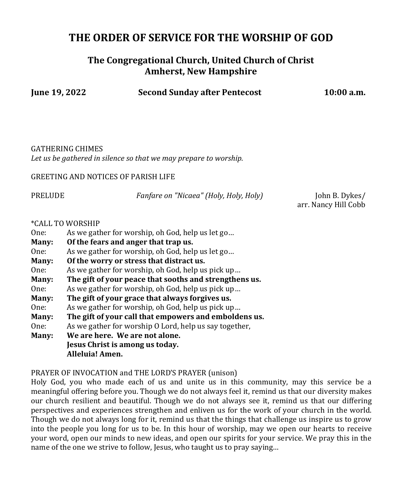### **THE ORDER OF SERVICE FOR THE WORSHIP OF GOD**

### **The Congregational Church, United Church of Christ Amherst, New Hampshire**

**June 19, 2022 Second Sunday after Pentecost 10:00 a.m.**

GATHERING CHIMES *Let us be gathered in silence so that we may prepare to worship.*

GREETING AND NOTICES OF PARISH LIFE

PRELUDE *Fanfare on "Nicaea" (Holy, Holy, Holy)* John B. Dykes/

arr. Nancy Hill Cobb

#### \*CALL TO WORSHIP

| One: | As we gather for worship, oh God, help us let go |
|------|--------------------------------------------------|
|      |                                                  |

- **Many: Of the fears and anger that trap us.**
- One: As we gather for worship, oh God, help us let go…
- **Many: Of the worry or stress that distract us.**
- One: As we gather for worship, oh God, help us pick up…
- **Many: The gift of your peace that sooths and strengthens us.**
- One: As we gather for worship, oh God, help us pick up…
- **Many: The gift of your grace that always forgives us.**
- One: As we gather for worship, oh God, help us pick up…
- **Many: The gift of your call that empowers and emboldens us.**
- One: As we gather for worship O Lord, help us say together,

**Many: We are here. We are not alone. Jesus Christ is among us today. Alleluia! Amen.** 

#### PRAYER OF INVOCATION and THE LORD'S PRAYER (unison)

Holy God, you who made each of us and unite us in this community, may this service be a meaningful offering before you. Though we do not always feel it, remind us that our diversity makes our church resilient and beautiful. Though we do not always see it, remind us that our differing perspectives and experiences strengthen and enliven us for the work of your church in the world. Though we do not always long for it, remind us that the things that challenge us inspire us to grow into the people you long for us to be. In this hour of worship, may we open our hearts to receive your word, open our minds to new ideas, and open our spirits for your service. We pray this in the name of the one we strive to follow, Jesus, who taught us to pray saying…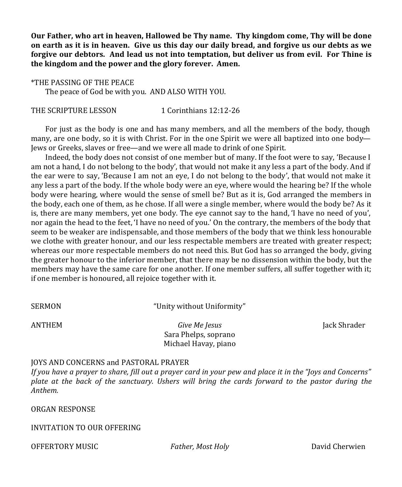**Our Father, who art in heaven, Hallowed be Thy name. Thy kingdom come, Thy will be done on earth as it is in heaven. Give us this day our daily bread, and forgive us our debts as we forgive our debtors. And lead us not into temptation, but deliver us from evil. For Thine is the kingdom and the power and the glory forever. Amen.**

\*THE PASSING OF THE PEACE The peace of God be with you. AND ALSO WITH YOU.

THE SCRIPTURE LESSON 1 Corinthians 12:12-26

For just as the body is one and has many members, and all the members of the body, though many, are one body, so it is with Christ. For in the one Spirit we were all baptized into one body— Jews or Greeks, slaves or free—and we were all made to drink of one Spirit.

Indeed, the body does not consist of one member but of many. If the foot were to say, 'Because I am not a hand, I do not belong to the body', that would not make it any less a part of the body. And if the ear were to say, 'Because I am not an eye, I do not belong to the body', that would not make it any less a part of the body. If the whole body were an eye, where would the hearing be? If the whole body were hearing, where would the sense of smell be? But as it is, God arranged the members in the body, each one of them, as he chose. If all were a single member, where would the body be? As it is, there are many members, yet one body. The eye cannot say to the hand, 'I have no need of you', nor again the head to the feet, 'I have no need of you.' On the contrary, the members of the body that seem to be weaker are indispensable, and those members of the body that we think less honourable we clothe with greater honour, and our less respectable members are treated with greater respect; whereas our more respectable members do not need this. But God has so arranged the body, giving the greater honour to the inferior member, that there may be no dissension within the body, but the members may have the same care for one another. If one member suffers, all suffer together with it; if one member is honoured, all rejoice together with it.

SERMON "Unity without Uniformity"

ANTHEM *Give Me Jesus* Jack Shrader Sara Phelps, soprano Michael Havay, piano

#### JOYS AND CONCERNS and PASTORAL PRAYER

*If you have a prayer to share, fill out a prayer card in your pew and place it in the "Joys and Concerns" plate at the back of the sanctuary. Ushers will bring the cards forward to the pastor during the Anthem.*

ORGAN RESPONSE

INVITATION TO OUR OFFERING

OFFERTORY MUSIC *Father, Most Holy* David Cherwien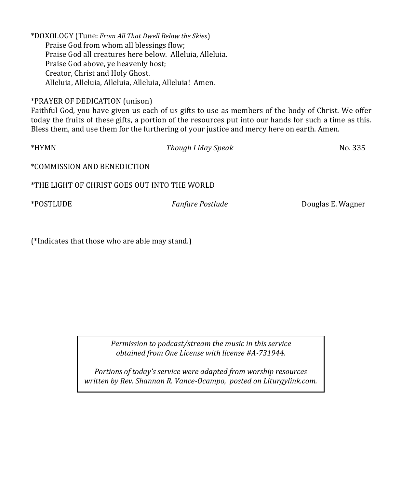| *DOXOLOGY (Tune: From All That Dwell Below the Skies)    |  |
|----------------------------------------------------------|--|
| Praise God from whom all blessings flow;                 |  |
| Praise God all creatures here below. Alleluia, Alleluia. |  |
| Praise God above, ye heavenly host;                      |  |
| Creator, Christ and Holy Ghost.                          |  |
| Alleluia, Alleluia, Alleluia, Alleluia, Alleluia! Amen.  |  |
|                                                          |  |

### \*PRAYER OF DEDICATION (unison)

Faithful God, you have given us each of us gifts to use as members of the body of Christ. We offer today the fruits of these gifts, a portion of the resources put into our hands for such a time as this. Bless them, and use them for the furthering of your justice and mercy here on earth. Amen.

| *HYMN                                        | Though I May Speak      | No. 335           |  |  |  |  |
|----------------------------------------------|-------------------------|-------------------|--|--|--|--|
| *COMMISSION AND BENEDICTION                  |                         |                   |  |  |  |  |
| *THE LIGHT OF CHRIST GOES OUT INTO THE WORLD |                         |                   |  |  |  |  |
| *POSTLUDE                                    | <i>Fanfare Postlude</i> | Douglas E. Wagner |  |  |  |  |
|                                              |                         |                   |  |  |  |  |

(\*Indicates that those who are able may stand.)

*Permission to podcast/stream the music in this service obtained from One License with license #A-731944.*

*Portions of today's service were adapted from worship resources written by Rev. Shannan R. Vance-Ocampo, posted on Liturgylink.com.*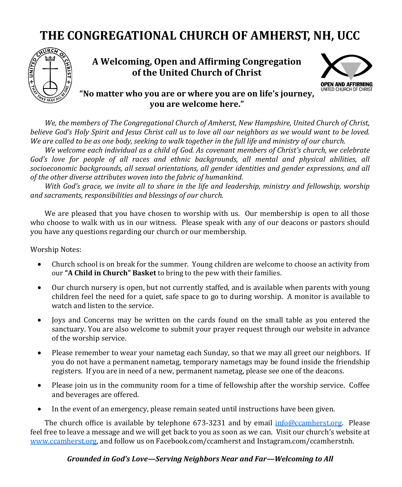# **THE CONGREGATIONAL CHURCH OF AMHERST, NH, UCC**



**A Welcoming, Open and Affirming Congregation of the United Church of Christ**



### **"No matter who you are or where you are on life's journey, you are welcome here."**

*We, the members of The Congregational Church of Amherst, New Hampshire, United Church of Christ, believe God's Holy Spirit and Jesus Christ call us to love all our neighbors as we would want to be loved. We are called to be as one body, seeking to walk together in the full life and ministry of our church.*

*We welcome each individual as a child of God. As covenant members of Christ's church, we celebrate God's love for people of all races and ethnic backgrounds, all mental and physical abilities, all socioeconomic backgrounds, all sexual orientations, all gender identities and gender expressions, and all of the other diverse attributes woven into the fabric of humankind.*

*With God's grace, we invite all to share in the life and leadership, ministry and fellowship, worship and sacraments, responsibilities and blessings of our church.* 

We are pleased that you have chosen to worship with us. Our membership is open to all those who choose to walk with us in our witness. Please speak with any of our deacons or pastors should you have any questions regarding our church or our membership.

Worship Notes:

- Church school is on break for the summer. Young children are welcome to choose an activity from our **"A Child in Church" Basket** to bring to the pew with their families.
- Our church nursery is open, but not currently staffed, and is available when parents with young children feel the need for a quiet, safe space to go to during worship. A monitor is available to watch and listen to the service.
- Joys and Concerns may be written on the cards found on the small table as you entered the sanctuary. You are also welcome to submit your prayer request through our website in advance of the worship service.
- Please remember to wear your nametag each Sunday, so that we may all greet our neighbors. If you do not have a permanent nametag, temporary nametags may be found inside the friendship registers. If you are in need of a new, permanent nametag, please see one of the deacons.
- Please join us in the community room for a time of fellowship after the worship service. Coffee and beverages are offered.
- In the event of an emergency, please remain seated until instructions have been given.

The church office is available by telephone 673-3231 and by email [info@ccamherst.org.](mailto:andrea@ccamherst.org) Please feel free to leave a message and we will get back to you as soon as we can. Visit our church's website at [www.ccamherst.org,](http://www.ccamherst.org) and follow us on Facebook.com/ccamherst and Instagram.com/ccamherstnh.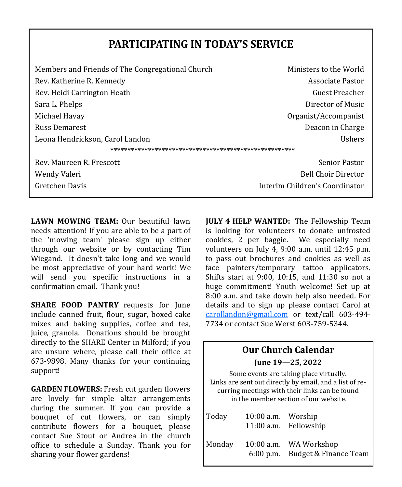### **PARTICIPATING IN TODAY'S SERVICE**

| Members and Friends of The Congregational Church | Ministers to the World         |  |  |  |
|--------------------------------------------------|--------------------------------|--|--|--|
| Rev. Katherine R. Kennedy                        | Associate Pastor               |  |  |  |
| Rev. Heidi Carrington Heath                      | Guest Preacher                 |  |  |  |
| Sara L. Phelps                                   | Director of Music              |  |  |  |
| Michael Havay                                    | Organist/Accompanist           |  |  |  |
| <b>Russ Demarest</b>                             | Deacon in Charge               |  |  |  |
| Leona Hendrickson, Carol Landon                  | <b>Ushers</b>                  |  |  |  |
|                                                  |                                |  |  |  |
| Rev. Maureen R. Frescott                         | <b>Senior Pastor</b>           |  |  |  |
| Wendy Valeri                                     | <b>Bell Choir Director</b>     |  |  |  |
| Gretchen Davis                                   | Interim Children's Coordinator |  |  |  |
|                                                  |                                |  |  |  |

**LAWN MOWING TEAM:** Our beautiful lawn needs attention! If you are able to be a part of the 'mowing team' please sign up either through our website or by contacting Tim Wiegand. It doesn't take long and we would be most appreciative of your hard work! We will send you specific instructions in a confirmation email. Thank you!

**SHARE FOOD PANTRY** requests for June include canned fruit, flour, sugar, boxed cake mixes and baking supplies, coffee and tea, juice, granola. Donations should be brought directly to the SHARE Center in Milford; if you are unsure where, please call their office at 673-9898. Many thanks for your continuing support!

**GARDEN FLOWERS:** Fresh cut garden flowers are lovely for simple altar arrangements during the summer. If you can provide a bouquet of cut flowers, or can simply contribute flowers for a bouquet, please contact Sue Stout or Andrea in the church office to schedule a Sunday. Thank you for sharing your flower gardens!

**JULY 4 HELP WANTED:** The Fellowship Team is looking for volunteers to donate unfrosted cookies, 2 per baggie. We especially need volunteers on July 4, 9:00 a.m. until 12:45 p.m. to pass out brochures and cookies as well as face painters/temporary tattoo applicators. Shifts start at 9:00, 10:15, and 11:30 so not a huge commitment! Youth welcome! Set up at 8:00 a.m. and take down help also needed. For details and to sign up please contact Carol at [carollandon@gmail.com](mailto:carollandon@gmail.com) or text/call 603-494- 7734 or contact Sue Werst 603-759-5344.

| <b>Our Church Calendar</b>                                                                                                                                                                    |                  |                      |                        |  |  |  |
|-----------------------------------------------------------------------------------------------------------------------------------------------------------------------------------------------|------------------|----------------------|------------------------|--|--|--|
|                                                                                                                                                                                               | June 19—25, 2022 |                      |                        |  |  |  |
| Some events are taking place virtually.<br>Links are sent out directly by email, and a list of re-<br>curring meetings with their links can be found<br>in the member section of our website. |                  |                      |                        |  |  |  |
|                                                                                                                                                                                               | Today            | $10:00$ a.m. Worship |                        |  |  |  |
|                                                                                                                                                                                               |                  |                      | 11:00 a.m. Fellowship  |  |  |  |
|                                                                                                                                                                                               | Monday           |                      | 10:00 a.m. WA Workshop |  |  |  |
|                                                                                                                                                                                               |                  | $6:00$ p.m.          | Budget & Finance Team  |  |  |  |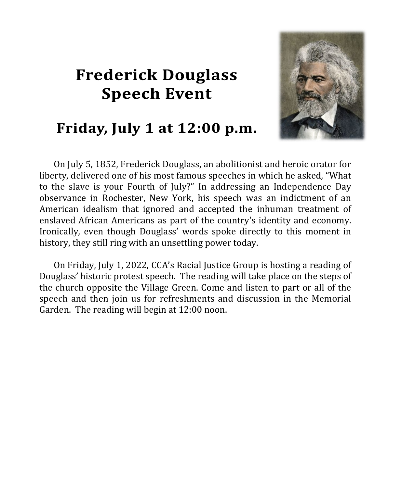# **Frederick Douglass Speech Event**



## Friday, July 1 at 12:00 p.m.

On July 5, 1852, Frederick Douglass, an abolitionist and heroic orator for liberty, delivered one of his most famous speeches in which he asked, "What to the slave is your Fourth of July?" In addressing an Independence Day observance in Rochester, New York, his speech was an indictment of an American idealism that ignored and accepted the inhuman treatment of enslaved African Americans as part of the country's identity and economy. Ironically, even though Douglass' words spoke directly to this moment in history, they still ring with an unsettling power today.

On Friday, July 1, 2022, CCA's Racial Justice Group is hosting a reading of Douglass' historic protest speech. The reading will take place on the steps of the church opposite the Village Green. Come and listen to part or all of the speech and then join us for refreshments and discussion in the Memorial Garden. The reading will begin at 12:00 noon.